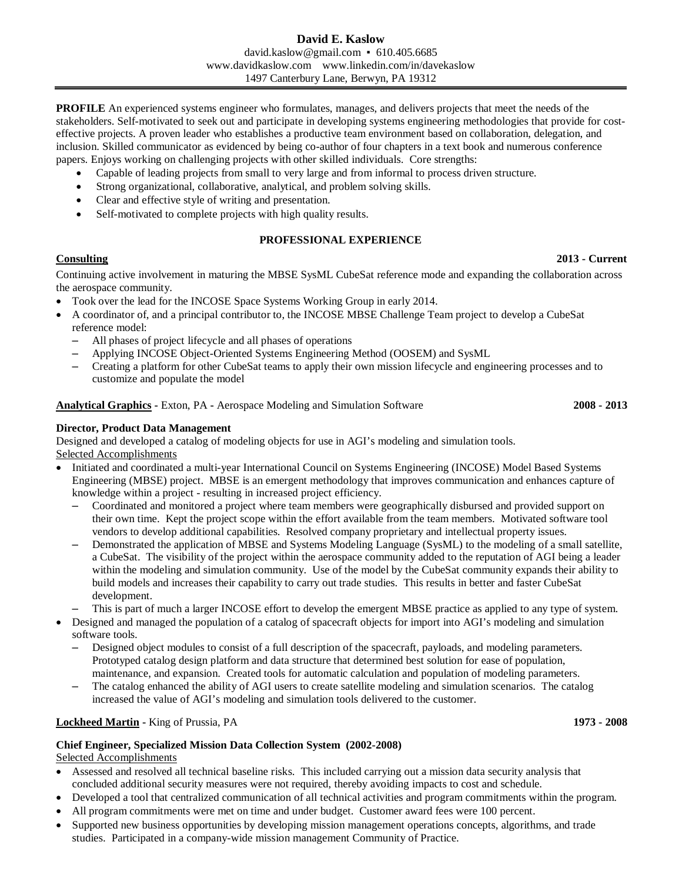**PROFILE** An experienced systems engineer who formulates, manages, and delivers projects that meet the needs of the stakeholders. Self-motivated to seek out and participate in developing systems engineering methodologies that provide for costeffective projects. A proven leader who establishes a productive team environment based on collaboration, delegation, and inclusion. Skilled communicator as evidenced by being co-author of four chapters in a text book and numerous conference papers. Enjoys working on challenging projects with other skilled individuals. Core strengths:

- Capable of leading projects from small to very large and from informal to process driven structure.
- Strong organizational, collaborative, analytical, and problem solving skills.
- Clear and effective style of writing and presentation.
- Self-motivated to complete projects with high quality results.

## **PROFESSIONAL EXPERIENCE**

#### **Consulting 2013 - Current**

Continuing active involvement in maturing the MBSE SysML CubeSat reference mode and expanding the collaboration across the aerospace community.

- Took over the lead for the INCOSE Space Systems Working Group in early 2014.
- A coordinator of, and a principal contributor to, the INCOSE MBSE Challenge Team project to develop a CubeSat reference model:
	- ‒ All phases of project lifecycle and all phases of operations
	- ‒ Applying INCOSE Object-Oriented Systems Engineering Method (OOSEM) and SysML
	- ‒ Creating a platform for other CubeSat teams to apply their own mission lifecycle and engineering processes and to customize and populate the model

#### **Analytical Graphics -** Exton, PA **-** Aerospace Modeling and Simulation Software **2008 - 2013**

#### **Director, Product Data Management**

Designed and developed a catalog of modeling objects for use in AGI's modeling and simulation tools. Selected Accomplishments

- Initiated and coordinated a multi-year International Council on Systems Engineering (INCOSE) Model Based Systems Engineering (MBSE) project. MBSE is an emergent methodology that improves communication and enhances capture of knowledge within a project - resulting in increased project efficiency.
	- ‒ Coordinated and monitored a project where team members were geographically disbursed and provided support on their own time. Kept the project scope within the effort available from the team members. Motivated software tool vendors to develop additional capabilities. Resolved company proprietary and intellectual property issues.
	- ‒ Demonstrated the application of MBSE and Systems Modeling Language (SysML) to the modeling of a small satellite, a CubeSat. The visibility of the project within the aerospace community added to the reputation of AGI being a leader within the modeling and simulation community. Use of the model by the CubeSat community expands their ability to build models and increases their capability to carry out trade studies. This results in better and faster CubeSat development.
	- ‒ This is part of much a larger INCOSE effort to develop the emergent MBSE practice as applied to any type of system.
- Designed and managed the population of a catalog of spacecraft objects for import into AGI's modeling and simulation software tools.
	- ‒ Designed object modules to consist of a full description of the spacecraft, payloads, and modeling parameters. Prototyped catalog design platform and data structure that determined best solution for ease of population, maintenance, and expansion. Created tools for automatic calculation and population of modeling parameters.
	- ‒ The catalog enhanced the ability of AGI users to create satellite modeling and simulation scenarios. The catalog increased the value of AGI's modeling and simulation tools delivered to the customer.

## **Lockheed Martin -** King of Prussia, PA **1973 - 2008**

## **Chief Engineer, Specialized Mission Data Collection System (2002-2008)**

Selected Accomplishments

- Assessed and resolved all technical baseline risks. This included carrying out a mission data security analysis that concluded additional security measures were not required, thereby avoiding impacts to cost and schedule.
- Developed a tool that centralized communication of all technical activities and program commitments within the program.
- All program commitments were met on time and under budget. Customer award fees were 100 percent.
- Supported new business opportunities by developing mission management operations concepts, algorithms, and trade studies. Participated in a company-wide mission management Community of Practice.